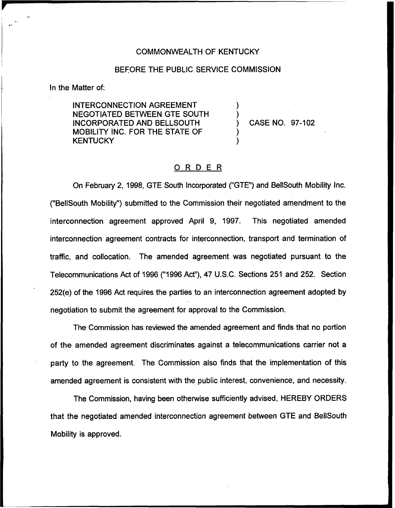## COMMONWEALTH OF KENTUCKY

## BEFORE THE PUBLIC SERVICE COMMISSION

) )

) )

In the Matter of:

INTERCONNECTION AGREEMENT NEGOTIATED BETWEEN GTE SOUTH INCORPORATED AND BELLSOUTH MOBILITY INC. FOR THE STATE OF **KENTUCKY** 

) CASE NO. 97-102

## ORDER

On February 2, 1998, GTE South Incorporated ("GTE") and BellSouth Mobility Inc. ("BellSouth Mobility") submitted to the Commission their negotiated amendment to the interconnection agreement approved April 9, 1997. This negotiated amended interconnection agreement contracts for interconnection, transport and termination of traffic, and collocation. The amended agreement was negotiated pursuant to the Telecommunications Act of 1996 ("1996Act"), 47 U.S.C. Sections 251 and 252. Section 252(e) of the 1996 Act requires the parties to an interconnection agreement adopted by negotiation to submit the agreement for approval to the Commission.

The Commission has reviewed the amended agreement and finds that no portion of the amended agreement discriminates against a telecommunications carrier not a party to the agreement. The Commission also finds that the implementation of this amended agreement is consistent with the public interest, convenience, and necessity.

The Commission, having been otherwise sufficiently advised, HEREBY ORDERS that the negotiated amended interconnection agreement between GTE and BellSouth Mobility is approved.